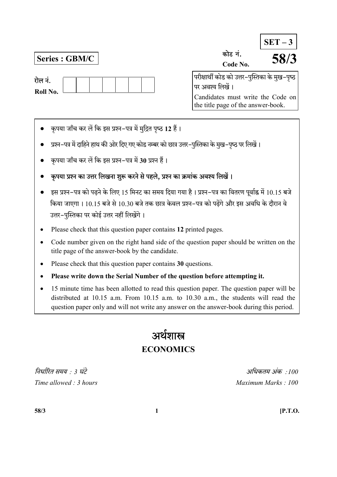| रोल नं.  |  |  |  |  |
|----------|--|--|--|--|
| Roll No. |  |  |  |  |

Series :  $\overline{\text{GBM/C}}$ 

|                                                | $SET-3$ |
|------------------------------------------------|---------|
| कोड नं.                                        | 58/3    |
| Code No.                                       |         |
| परीक्षार्थी कोड को उत्तर–पुस्तिका के मुख–पृष्ठ |         |
| पर अवश्य लिखें ।                               |         |
| Candidates must write the Code on              |         |

the title page of the answer-book.

- कृपया जाँच कर लें कि इस प्रश्न-पत्र में मुद्रित पृष्ठ 12 हैं।
- प्रश्न-पत्र में दाहिने हाथ की ओर दिए गए कोड नम्बर को छात्र उत्तर-पुस्तिका के मुख-पृष्ठ पर लिखें।
- कृपया जाँच कर लें कि इस प्रश्न-पत्र में 30 प्रश्न हैं।
- कृपया प्रश्न का उत्तर लिखना शुरू करने से पहले, प्रश्न का क्रमांक अवश्य लिखें।
- इस प्रश्न-पत्र को पढ़ने के लिए 15 मिनट का समय दिया गया है। प्रश्न-पत्र का वितरण पूर्वाह्न में 10.15 बजे किया जाएगा। 10.15 बजे से 10.30 बजे तक छात्र केवल प्रश्न–पत्र को पढेंगे और इस अवधि के दौरान वे उत्तर-पुस्तिका पर कोई उत्तर नहीं लिखेंगे।
- Please check that this question paper contains 12 printed pages.
- Code number given on the right hand side of the question paper should be written on the title page of the answer-book by the candidate.
- Please check that this question paper contains 30 questions.
- Please write down the Serial Number of the question before attempting it.
- 15 minute time has been allotted to read this question paper. The question paper will be distributed at 10.15 a.m. From 10.15 a.m. to 10.30 a.m., the students will read the question paper only and will not write any answer on the answer-book during this period.

# अर्थशास्त्र **ECONOMICS**

 : 3 : 100 Time allowed : 3 hours and the set of the Maximum Marks : 100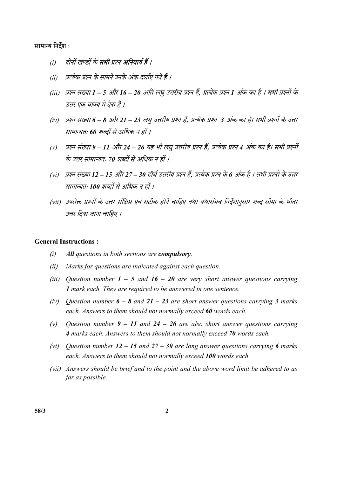## सामान्य निर्देश :

- (i) दोनों खण्डों के **सभी** प्रश्न **अनिवार्य** हैं ।
- (ii) प्रत्येक प्रश्न के सामने उनके अंक दर्शाए गये हैं ।
- (iii) प्रश्न संख्या 1 5 और 16 20 अति लघु उत्तरीय प्रश्न हैं, प्रत्येक प्रश्न 1 अंक का है । सभी प्रश्नों के उत्तर एक वाक्य में देना है ।
- (iv) प्रश्न संख्या 6 8 और 21 23 लघु उत्तरीय प्रश्न हैं, प्रत्येक प्रश्न 3 अंक का है। सभी प्रश्नों के उत्तर सामान्यतः 60 शब्दों से अधिक न हों ।
- (v) प्रश्न संख्या 9 11 और 24 26 यह भी लघु उत्तरीय प्रश्न हैं, प्रत्येक प्रश्न 4 अंक का है। सभी प्रश्नों के उत्तर सामान्यतः 70 शब्दों से अधिक न हों ।
- (vi) प्रश्न संख्या 12 15 और 27 30 दीर्घ उत्तरीय प्रश्न हैं, प्रत्येक प्रश्न के 6 अंक हैं । सभी प्रश्नों के उत्तर सामान्यतः 100 शब्दों से अधिक न हों ।
- (vii) उपरोक्त प्रश्नों के उत्तर संक्षिप्त एवं सटीक होने चाहिए तथा यथासंभव निर्देशानुसार शब्द सीमा के भीतर उत्तर दिया जाना चाहिए ।

#### General Instructions :

- $(i)$  All questions in both sections are **compulsory**.
- (ii) Marks for questions are indicated against each question.
- (iii) Question number  $1 5$  and  $16 20$  are very short answer questions carrying 1 mark each. They are required to be answered in one sentence.
- (iv) Ouestion number  $6 8$  and  $21 23$  are short answer questions carrying 3 marks each. Answers to them should not normally exceed 60 words each.
- (v) Question number  $9 11$  and  $24 26$  are also short answer questions carrying 4 marks each. Answers to them should not normally exceed 70 words each.
- (vi) Question number  $12 15$  and  $27 30$  are long answer questions carrying 6 marks each. Answers to them should not normally exceed 100 words each.
- (vii) Answers should be brief and to the point and the above word limit be adhered to as far as possible.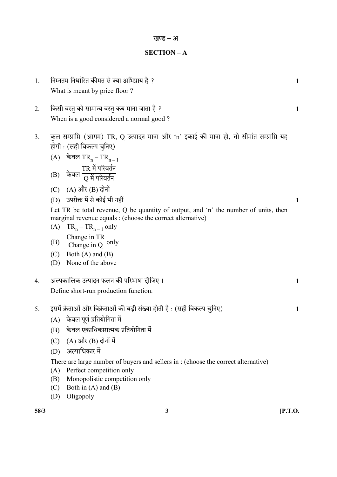#### SECTION – A

- 1. ? 1 What is meant by price floor ?
- 2. ? 1 When is a good considered a normal good ?
- 3. कुल सम्प्राप्ति (आगम) TR, O उत्पादन मात्रा और 'n' इकाई की मात्रा हो, तो सीमांत सम्प्राप्ति यह होगी : (सही विकल्प चुनिए)
	- $(A)$  केवल TR<sub>n</sub> TR<sub>n 1</sub>  $\left( \mathrm{B}\right)$  केवल  ${\rm TR}$  में परिवर्तन  $\overline{\mathrm{Q}}$  में परिवर्तन $\overline{\phantom{a}}$
	- $(C)$   $(A)$  और  $(B)$  दोनों
	- $(D)$  उपरोक्त में से कोई भी नहीं किया है। उपरोक्त में से कोई भी नहीं किया है।
	- Let TR be total revenue, Q be quantity of output, and 'n' the number of units, then marginal revenue equals : (choose the correct alternative)
	- (A)  $TR_n TR_{n-1}$  only (B) Change in TR Change in  $\overline{Q}$  only
	- (C) Both (A) and (B)
	- (D) None of the above
- 4. 1 Define short-run production function.
- 5. इसमें क्रेताओं और विक्रेताओं की बड़ी संख्या होती है : (सही विकल्प चुनिए) 1
	- $(A)$  केवल पूर्ण प्रतियोगिता में
	- (B) केवल एकाधिकारात्मक प्रतियोगिता में
	- $(C)$   $(A)$  और  $(B)$  दोनों में
	- (D)

There are large number of buyers and sellers in : (choose the correct alternative)

- (A) Perfect competition only
- (B) Monopolistic competition only
- (C) Both in (A) and (B)
- (D) Oligopoly

| ٠<br>×<br>۰.<br>۰.<br>×<br>× |  |
|------------------------------|--|
|------------------------------|--|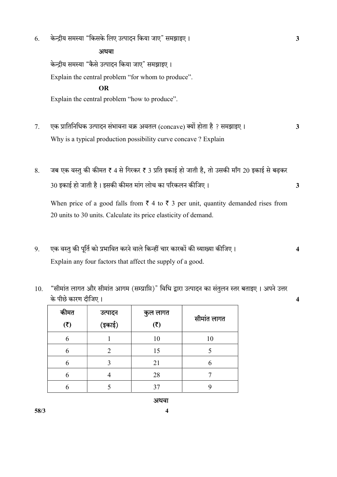6. " " 3

अथवा केन्द्रीय समस्या "कैसे उत्पादन किया जाए" समझाइए। Explain the central problem "for whom to produce". OR Explain the central problem "how to produce".

- 7. (concave) ? 3 Why is a typical production possibility curve concave ? Explain
- 8. जब एक वस्तु की कीमत ₹ 4 से गिरकर ₹ 3 प्रति इकाई हो जाती है, तो उसकी माँग 20 इकाई से बढकर 30 3

When price of a good falls from  $\bar{\tau}$  4 to  $\bar{\tau}$  3 per unit, quantity demanded rises from 20 units to 30 units. Calculate its price elasticity of demand.

- 9. एक वस्तु की पूर्ति को प्रभावित करने वाले किन्हीं चार कारकों की व्याख्या कीजिए। 4 Explain any four factors that affect the supply of a good.
- 10. "सीमांत लागत और सीमांत आगम (सम्प्राप्ति)" विधि द्वारा उत्पादन का संतुलन स्तर बताइए । अपने उत्तर 4 कीमत  $(5)$ उत्पादन (इकाई) कुल लागत  $(5)$ सीमांत लागत 6 1 1 10 10 6 2 15 5 6 3 21 6

6 | 5 | 37 | 9

- 
- 

 $58/3$  4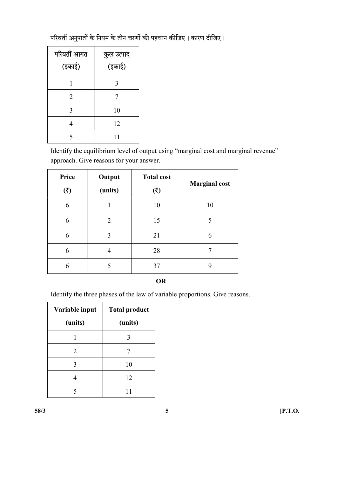परिवर्ती अनुपातों के नियम के तीन चरणों की पहचान कीजिए। कारण दीजिए।

| परिवर्ती आगत<br>(इकाई) | कुल उत्पाद<br>(इकाई) |
|------------------------|----------------------|
|                        | 3                    |
| 2                      | 7                    |
| 3                      | 10                   |
| 4                      | 12                   |
| 5                      | 11                   |

 Identify the equilibrium level of output using "marginal cost and marginal revenue" approach. Give reasons for your answer.

| Price<br>(3) | Output<br>(units) | <b>Total cost</b><br>(3) | <b>Marginal cost</b> |
|--------------|-------------------|--------------------------|----------------------|
| 6            |                   | 10                       | 10                   |
| 6            | 2                 | 15                       | 5                    |
| 6            | 3                 | 21                       | 6                    |
| 6            | 4                 | 28                       |                      |
| 6            |                   | 37                       |                      |

#### OR

Identify the three phases of the law of variable proportions. Give reasons.

| Variable input              | <b>Total product</b> |  |
|-----------------------------|----------------------|--|
| (units)                     | (units)              |  |
|                             | 3                    |  |
| $\mathcal{D}_{\mathcal{L}}$ |                      |  |
| 3                           | 10                   |  |
|                             | 12                   |  |
|                             |                      |  |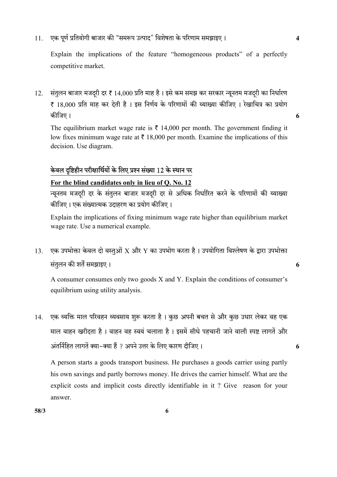11. एक पूर्ण प्रतियोगी बाजार की "समरूप उत्पाद" विशेषता के परिणाम समझाइए । 4

Explain the implications of the feature "homogeneous products" of a perfectly competitive market.

12. संतुलन बाजार मजदरी दर ₹ 14,000 प्रति माह है। इसे कम समझ कर सरकार न्यूनतम मजदरी का निर्धारण ₹ 18,000 प्रति माह कर देती है। इस निर्णय के परिणामों की व्याख्या कीजिए। रेखाचित्र का प्रयोग 6

The equilibrium market wage rate is  $\bar{\tau}$  14,000 per month. The government finding it low fixes minimum wage rate at  $\bar{\tau}$  18,000 per month. Examine the implications of this decision. Use diagram.

# केवल दृष्टिहीन परीक्षार्थियों के लिए प्रश्न संख्या 12 के स्थान पर

## For the blind candidates only in lieu of Q. No. 12

न्यूनतम मजद्री दर के संतुलन बाजार मजद्री दर से अधिक निर्धारित करने के परिणामों की व्याख्या कीजिए। एक संख्यात्मक उदाहरण का प्रयोग कीजिए।

Explain the implications of fixing minimum wage rate higher than equilibrium market wage rate. Use a numerical example.

13. एक उपभोक्ता केवल दो वस्तुओं X और Y का उपभोग करता है। उपयोगिता विश्लेषण के द्वारा उपभोक्ता 6

A consumer consumes only two goods X and Y. Explain the conditions of consumer's equilibrium using utility analysis.

14. एक व्यक्ति माल परिवहन व्यवसाय शुरू करता है। कुछ अपनी बचत से और कुछ उधार लेकर वह एक माल वाहन खरीदता है। वाहन वह स्वयं चलाता है। इसमें सीधे पहचानी जाने वाली स्पष्ट लागतें और - ? 6

A person starts a goods transport business. He purchases a goods carrier using partly his own savings and partly borrows money. He drives the carrier himself. What are the explicit costs and implicit costs directly identifiable in it ? Give reason for your answer.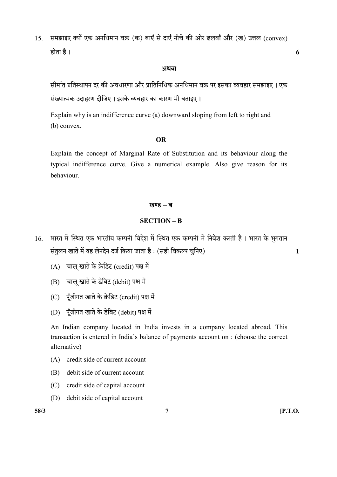15. समझाइए क्यों एक अनधिमान वक्र (क) बाएँ से दाएँ नीचे की ओर ढलवाँ और (ख) उत्तल (convex) 6

#### अथवा

सीमांत प्रतिस्थापन दर की अवधारणा और प्रातिनिधिक अनधिमान वक्र पर इसका व्यवहार समझाइए । एक संख्यात्मक उदाहरण दीजिए। इसके व्यवहार का कारण भी बताइए।

 Explain why is an indifference curve (a) downward sloping from left to right and (b) convex.

#### OR

 Explain the concept of Marginal Rate of Substitution and its behaviour along the typical indifference curve. Give a numerical example. Also give reason for its behaviour.

#### खण्ड – ब

### SECTION – B

- 16. भारत में स्थित एक भारतीय कम्पनी विदेश में स्थित एक कम्पनी में निवेश करती है । भारत के भूगतान संतुलन खाते में यह लेनदेन दर्ज किया जाता है : (सही विकल्प चूनिए)  $\,$ 
	- $(A)$  चालु खाते के क्रेडिट (credit) पक्ष में
	- (B) चालू खाते के डेबिट (debit) पक्ष में
	- (C) पूँजीगत खाते के क्रेडिट (credit) पक्ष में
	- (D) पूँजीगत खाते के डेबिट (debit) पक्ष में

An Indian company located in India invests in a company located abroad. This transaction is entered in India's balance of payments account on : (choose the correct alternative)

- (A) credit side of current account
- (B) debit side of current account
- (C) credit side of capital account
- (D) debit side of capital account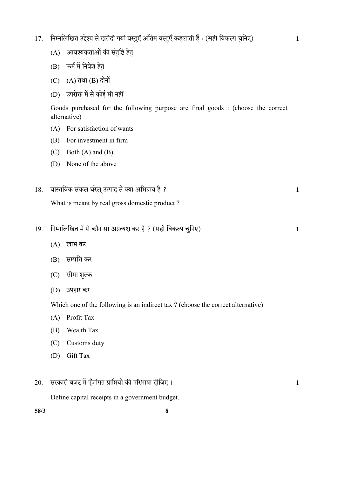- 17. निम्नलिखित उद्देश्य से खरीदी गयी वस्तुएँ अंतिम वस्तुएँ कहलाती हैं : (सही विकल्प चुनिए) 1
	- (A) आवश्यकताओं की संतुष्टि हेतु
	- (B) फर्म में निवेश हेत्
	- $(C)$   $(A)$  तथा  $(B)$  दोनों
	- (D) उपरोक्त में से कोई भी नहीं

Goods purchased for the following purpose are final goods : (choose the correct alternative)

- (A) For satisfaction of wants
- (B) For investment in firm
- (C) Both (A) and (B)
- (D) None of the above
- $18.$  वास्तविक सकल घरेलू उत्पाद से क्या अभिप्राय है ?  $\sim$  1

What is meant by real gross domestic product ?

- 19. ? ( ) 1
	- (A) लाभ कर
	- (B) सम्पत्ति कर
	- (C) सीमा शुल्क
	- (D)

Which one of the following is an indirect tax ? (choose the correct alternative)

- (A) Profit Tax
- (B) Wealth Tax
- (C) Customs duty
- (D) Gift Tax

# $20.$  सरकारी बजट में पूँजीगत प्राप्तियों की परिभाषा दीजिए ।  $\,$

Define capital receipts in a government budget.

 $58/3$  8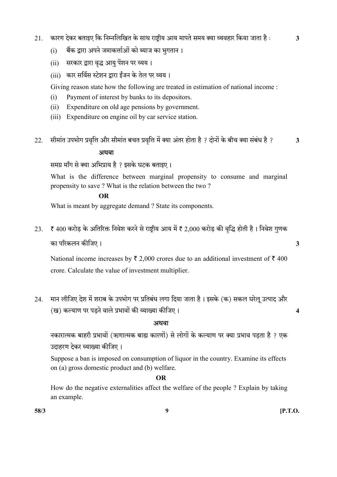- 21. कारण देकर बताइए कि निम्नलिखित के साथ राष्ट्रीय आय मापते समय क्या व्यवहार किया जाता है : 3
	- (i) बैंक द्वारा अपने जमाकर्त्ताओं को ब्याज का भूगतान ।
	- (ii) सरकार द्वारा वृद्ध आयु पेंशन पर व्यय।
	- (iii) कार सर्विस स्टेशन द्वारा ईंजन के तेल पर व्यय।

Giving reason state how the following are treated in estimation of national income :

- (i) Payment of interest by banks to its depositors.
- (ii) Expenditure on old age pensions by government.
- (iii) Expenditure on engine oil by car service station.
- 22. सीमांत उपभोग प्रवृत्ति और सीमांत बचत प्रवृत्ति में क्या अंतर होता है ? दोनों के बीच क्या संबंध है ?  $\,$  3

## अथवा

समग्र माँग से क्या अभिप्राय है ? इसके घटक बताइए।

What is the difference between marginal propensity to consume and marginal propensity to save ? What is the relation between the two ?

#### OR

What is meant by aggregate demand ? State its components.

23. ₹ 400 करोड़ के अतिरिक्त निवेश करने से राष्ट्रीय आय में ₹ 2,000 करोड़ की वृद्धि होती है। निवेश गुणक 3

National income increases by  $\bar{\tau}$  2,000 crores due to an additional investment of  $\bar{\tau}$  400 crore. Calculate the value of investment multiplier.

24. मान लीजिए देश में शराब के उपभोग पर प्रतिबंध लगा दिया जाता है। इसके (क) सकल घरेलू उत्पाद और () 4

#### अथवा

नकारात्मक बाहरी प्रभावों (ऋणात्मक बाह्य कारणों) से लोगों के कल्याण पर क्या प्रभाव पडता है ? एक उदाहरण देकर व्याख्या कीजिए।

 Suppose a ban is imposed on consumption of liquor in the country. Examine its effects on (a) gross domestic product and (b) welfare.

## OR

 How do the negative externalities affect the welfare of the people ? Explain by taking an example.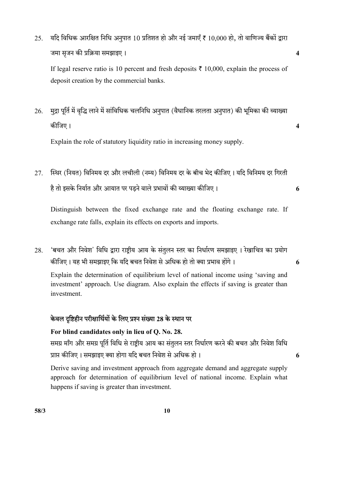25. यदि विधिक आरक्षित निधि अनुपात 10 प्रतिशत हो और नई जमाएँ ₹ 10,000 हो, तो वाणिज्य बैंकों द्वारा 4

If legal reserve ratio is 10 percent and fresh deposits  $\bar{\tau}$  10,000, explain the process of deposit creation by the commercial banks.

 $26$ . मद्रा पूर्ति में वृद्धि लाने में सांविधिक चलनिधि अनुपात (वैधानिक तरलता अनुपात) की भूमिका की व्याख्या 4

Explain the role of statutory liquidity ratio in increasing money supply.

27. स्थिर (नियत) विनिमय दर और लचीली (नम्य) विनिमय दर के बीच भेद कीजिए। यदि विनिमय दर गिरती 6

Distinguish between the fixed exchange rate and the floating exchange rate. If exchange rate falls, explain its effects on exports and imports.

28. 'बचत और निवेश' विधि द्वारा राष्ट्रीय आय के संतुलन स्तर का निर्धारण समझाइए । रेखाचित्र का प्रयोग कीजिए। यह भी समझाइए कि यदि बचत निवेश से अधिक हो तो क्या प्रभाव होंगे। 6

Explain the determination of equilibrium level of national income using 'saving and investment' approach. Use diagram. Also explain the effects if saving is greater than investment.

# केवल दृष्टिहीन परीक्षार्थियों के लिए प्रश्न संख्या 28 के स्थान पर

For blind candidates only in lieu of Q. No. 28. समग्र माँग और समग्र पूर्ति विधि से राष्ट्रीय आय का संतुलन स्तर निर्धारण करने की बचत और निवेश विधि 6

 Derive saving and investment approach from aggregate demand and aggregate supply approach for determination of equilibrium level of national income. Explain what happens if saving is greater than investment.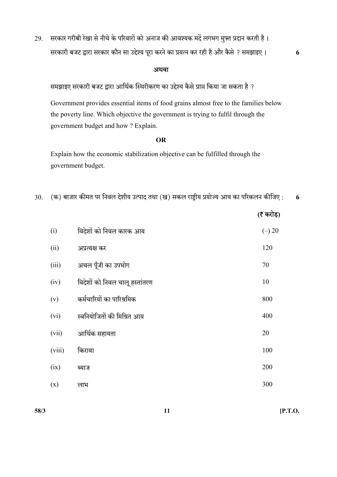29. सरकार गरीबी रेखा से नीचे के परिवारों को अनाज की आवश्यक मदें लगभग मुफ्त प्रदान करती है।

सरकारी बजट द्वारा सरकार कौन सा उद्देश्य पूरा करने का प्रयत्न कर रही है और कैसे ? समझाइए । 6

#### अथवा

समझाइए सरकारी बजट द्वारा आर्थिक स्थिरीकरण का उद्देश्य कैसे प्राप्त किया जा सकता है ?

 Government provides essential items of food grains almost free to the families below the poverty line. Which objective the government is trying to fulfil through the government budget and how ? Explain.

### OR

 Explain how the economic stabilization objective can be fulfilled through the government budget.

|--|--|--|--|--|--|

|        |                                | (रै करोड़) |
|--------|--------------------------------|------------|
| (i)    | विदेशों को निवल कारक आय        | $(-) 20$   |
| (ii)   | अप्रत्यक्ष कर                  | 120        |
| (iii)  | अचल पूँजी का उपभोग             | 70         |
| (iv)   | विदेशों को निवल चालू हस्तांतरण | 10         |
| (v)    | कर्मचारियों का पारिश्रमिक      | 800        |
| (vi)   | स्वनियोजितों की मिश्रित आय     | 400        |
| (vii)  | आर्थिक सहायता                  | 20         |
| (viii) | किराया                         | 100        |
| (ix)   | ब्याज                          | 200        |
| (x)    | लाभ                            | 300        |

 $58/3$  [P.T.O.